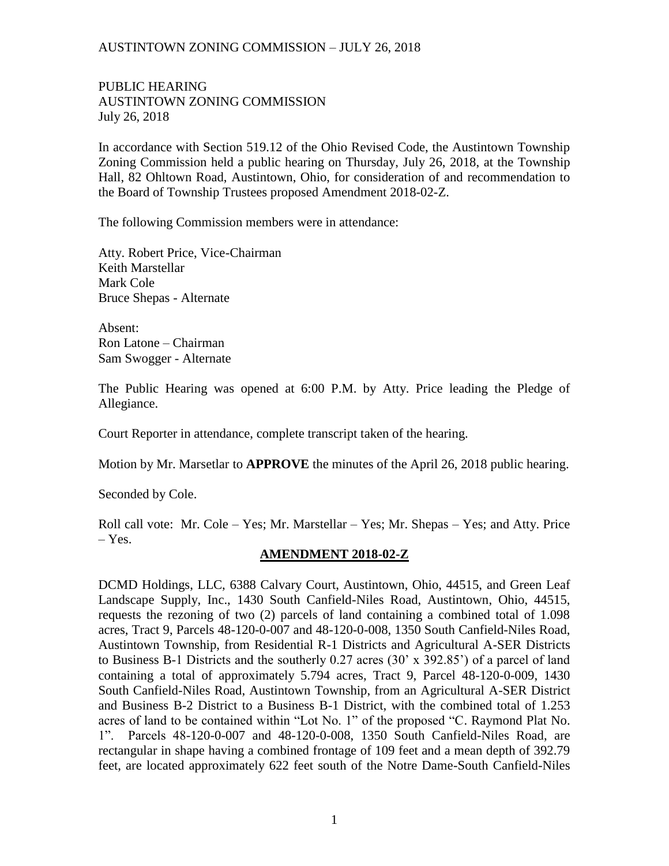PUBLIC HEARING AUSTINTOWN ZONING COMMISSION July 26, 2018

In accordance with Section 519.12 of the Ohio Revised Code, the Austintown Township Zoning Commission held a public hearing on Thursday, July 26, 2018, at the Township Hall, 82 Ohltown Road, Austintown, Ohio, for consideration of and recommendation to the Board of Township Trustees proposed Amendment 2018-02-Z.

The following Commission members were in attendance:

Atty. Robert Price, Vice-Chairman Keith Marstellar Mark Cole Bruce Shepas - Alternate

Absent: Ron Latone – Chairman Sam Swogger - Alternate

The Public Hearing was opened at 6:00 P.M. by Atty. Price leading the Pledge of Allegiance.

Court Reporter in attendance, complete transcript taken of the hearing.

Motion by Mr. Marsetlar to **APPROVE** the minutes of the April 26, 2018 public hearing.

Seconded by Cole.

Roll call vote: Mr. Cole – Yes; Mr. Marstellar – Yes; Mr. Shepas – Yes; and Atty. Price – Yes.

# **AMENDMENT 2018-02-Z**

DCMD Holdings, LLC, 6388 Calvary Court, Austintown, Ohio, 44515, and Green Leaf Landscape Supply, Inc., 1430 South Canfield-Niles Road, Austintown, Ohio, 44515, requests the rezoning of two (2) parcels of land containing a combined total of 1.098 acres, Tract 9, Parcels 48-120-0-007 and 48-120-0-008, 1350 South Canfield-Niles Road, Austintown Township, from Residential R-1 Districts and Agricultural A-SER Districts to Business B-1 Districts and the southerly 0.27 acres (30' x 392.85') of a parcel of land containing a total of approximately 5.794 acres, Tract 9, Parcel 48-120-0-009, 1430 South Canfield-Niles Road, Austintown Township, from an Agricultural A-SER District and Business B-2 District to a Business B-1 District, with the combined total of 1.253 acres of land to be contained within "Lot No. 1" of the proposed "C. Raymond Plat No. 1". Parcels 48-120-0-007 and 48-120-0-008, 1350 South Canfield-Niles Road, are rectangular in shape having a combined frontage of 109 feet and a mean depth of 392.79 feet, are located approximately 622 feet south of the Notre Dame-South Canfield-Niles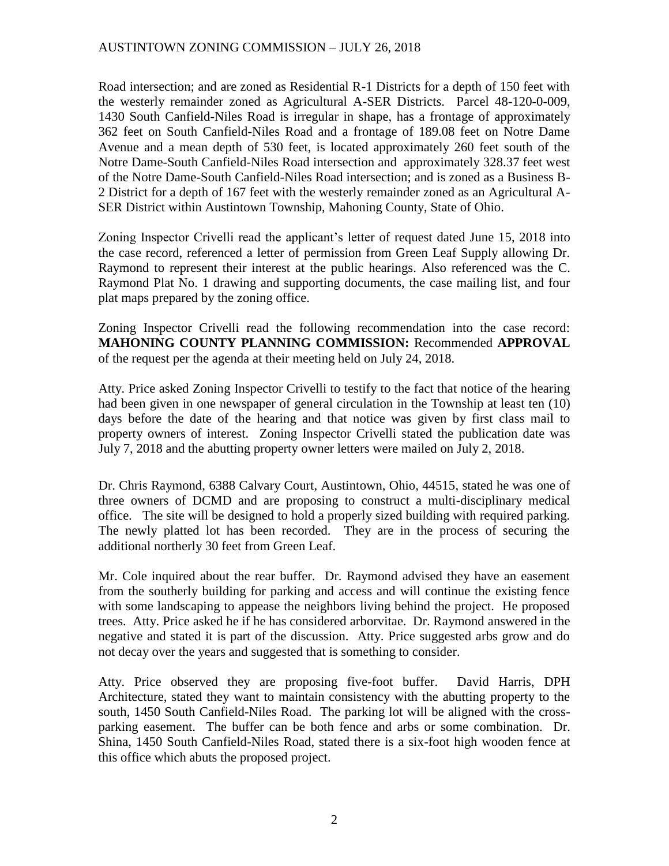Road intersection; and are zoned as Residential R-1 Districts for a depth of 150 feet with the westerly remainder zoned as Agricultural A-SER Districts. Parcel 48-120-0-009, 1430 South Canfield-Niles Road is irregular in shape, has a frontage of approximately 362 feet on South Canfield-Niles Road and a frontage of 189.08 feet on Notre Dame Avenue and a mean depth of 530 feet, is located approximately 260 feet south of the Notre Dame-South Canfield-Niles Road intersection and approximately 328.37 feet west of the Notre Dame-South Canfield-Niles Road intersection; and is zoned as a Business B-2 District for a depth of 167 feet with the westerly remainder zoned as an Agricultural A-SER District within Austintown Township, Mahoning County, State of Ohio.

Zoning Inspector Crivelli read the applicant's letter of request dated June 15, 2018 into the case record, referenced a letter of permission from Green Leaf Supply allowing Dr. Raymond to represent their interest at the public hearings. Also referenced was the C. Raymond Plat No. 1 drawing and supporting documents, the case mailing list, and four plat maps prepared by the zoning office.

Zoning Inspector Crivelli read the following recommendation into the case record: **MAHONING COUNTY PLANNING COMMISSION:** Recommended **APPROVAL** of the request per the agenda at their meeting held on July 24, 2018.

Atty. Price asked Zoning Inspector Crivelli to testify to the fact that notice of the hearing had been given in one newspaper of general circulation in the Township at least ten (10) days before the date of the hearing and that notice was given by first class mail to property owners of interest. Zoning Inspector Crivelli stated the publication date was July 7, 2018 and the abutting property owner letters were mailed on July 2, 2018.

Dr. Chris Raymond, 6388 Calvary Court, Austintown, Ohio, 44515, stated he was one of three owners of DCMD and are proposing to construct a multi-disciplinary medical office. The site will be designed to hold a properly sized building with required parking. The newly platted lot has been recorded. They are in the process of securing the additional northerly 30 feet from Green Leaf.

Mr. Cole inquired about the rear buffer. Dr. Raymond advised they have an easement from the southerly building for parking and access and will continue the existing fence with some landscaping to appease the neighbors living behind the project. He proposed trees. Atty. Price asked he if he has considered arborvitae. Dr. Raymond answered in the negative and stated it is part of the discussion. Atty. Price suggested arbs grow and do not decay over the years and suggested that is something to consider.

Atty. Price observed they are proposing five-foot buffer. David Harris, DPH Architecture, stated they want to maintain consistency with the abutting property to the south, 1450 South Canfield-Niles Road. The parking lot will be aligned with the crossparking easement. The buffer can be both fence and arbs or some combination. Dr. Shina, 1450 South Canfield-Niles Road, stated there is a six-foot high wooden fence at this office which abuts the proposed project.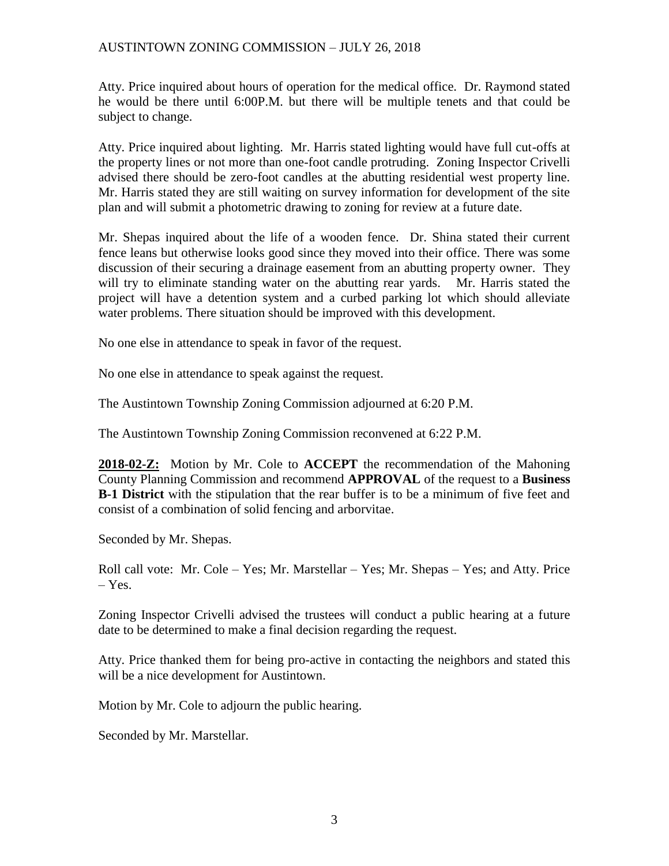Atty. Price inquired about hours of operation for the medical office. Dr. Raymond stated he would be there until 6:00P.M. but there will be multiple tenets and that could be subject to change.

Atty. Price inquired about lighting. Mr. Harris stated lighting would have full cut-offs at the property lines or not more than one-foot candle protruding. Zoning Inspector Crivelli advised there should be zero-foot candles at the abutting residential west property line. Mr. Harris stated they are still waiting on survey information for development of the site plan and will submit a photometric drawing to zoning for review at a future date.

Mr. Shepas inquired about the life of a wooden fence. Dr. Shina stated their current fence leans but otherwise looks good since they moved into their office. There was some discussion of their securing a drainage easement from an abutting property owner. They will try to eliminate standing water on the abutting rear yards. Mr. Harris stated the project will have a detention system and a curbed parking lot which should alleviate water problems. There situation should be improved with this development.

No one else in attendance to speak in favor of the request.

No one else in attendance to speak against the request.

The Austintown Township Zoning Commission adjourned at 6:20 P.M.

The Austintown Township Zoning Commission reconvened at 6:22 P.M.

**2018-02-Z:** Motion by Mr. Cole to **ACCEPT** the recommendation of the Mahoning County Planning Commission and recommend **APPROVAL** of the request to a **Business B-1 District** with the stipulation that the rear buffer is to be a minimum of five feet and consist of a combination of solid fencing and arborvitae.

Seconded by Mr. Shepas.

Roll call vote: Mr. Cole – Yes; Mr. Marstellar – Yes; Mr. Shepas – Yes; and Atty. Price – Yes.

Zoning Inspector Crivelli advised the trustees will conduct a public hearing at a future date to be determined to make a final decision regarding the request.

Atty. Price thanked them for being pro-active in contacting the neighbors and stated this will be a nice development for Austintown.

Motion by Mr. Cole to adjourn the public hearing.

Seconded by Mr. Marstellar.